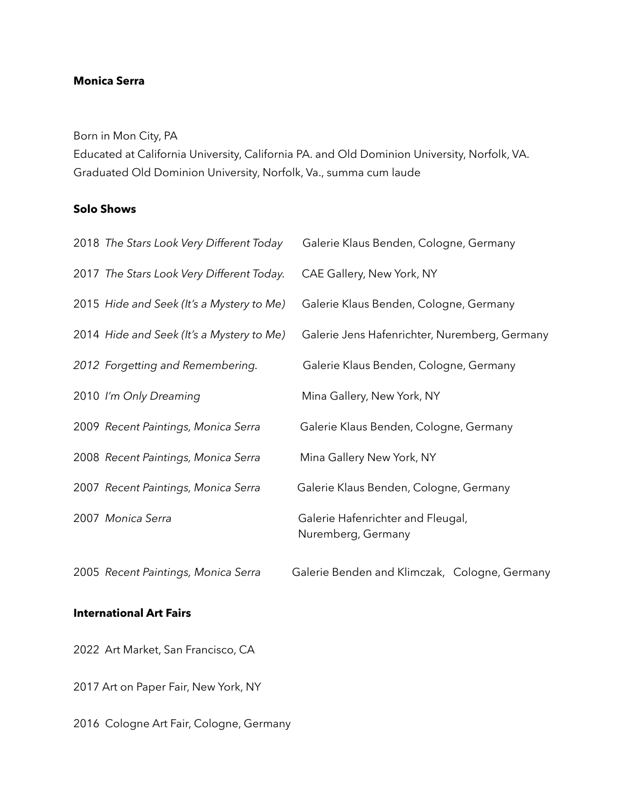### **Monica Serra**

Born in Mon City, PA

Educated at California University, California PA. and Old Dominion University, Norfolk, VA. Graduated Old Dominion University, Norfolk, Va., summa cum laude

### **Solo Shows**

|                                | 2018 The Stars Look Very Different Today  | Galerie Klaus Benden, Cologne, Germany                  |  |  |  |
|--------------------------------|-------------------------------------------|---------------------------------------------------------|--|--|--|
|                                | 2017 The Stars Look Very Different Today. | CAE Gallery, New York, NY                               |  |  |  |
|                                | 2015 Hide and Seek (It's a Mystery to Me) | Galerie Klaus Benden, Cologne, Germany                  |  |  |  |
|                                | 2014 Hide and Seek (It's a Mystery to Me) | Galerie Jens Hafenrichter, Nuremberg, Germany           |  |  |  |
|                                | 2012 Forgetting and Remembering.          | Galerie Klaus Benden, Cologne, Germany                  |  |  |  |
|                                | 2010 I'm Only Dreaming                    | Mina Gallery, New York, NY                              |  |  |  |
|                                | 2009 Recent Paintings, Monica Serra       | Galerie Klaus Benden, Cologne, Germany                  |  |  |  |
|                                | 2008 Recent Paintings, Monica Serra       | Mina Gallery New York, NY                               |  |  |  |
|                                | 2007 Recent Paintings, Monica Serra       | Galerie Klaus Benden, Cologne, Germany                  |  |  |  |
|                                | 2007 Monica Serra                         | Galerie Hafenrichter and Fleugal,<br>Nuremberg, Germany |  |  |  |
|                                | 2005 Recent Paintings, Monica Serra       | Galerie Benden and Klimczak, Cologne, Germany           |  |  |  |
| <b>International Art Fairs</b> |                                           |                                                         |  |  |  |

2022 Art Market, San Francisco, CA

2017 Art on Paper Fair, New York, NY

2016 Cologne Art Fair, Cologne, Germany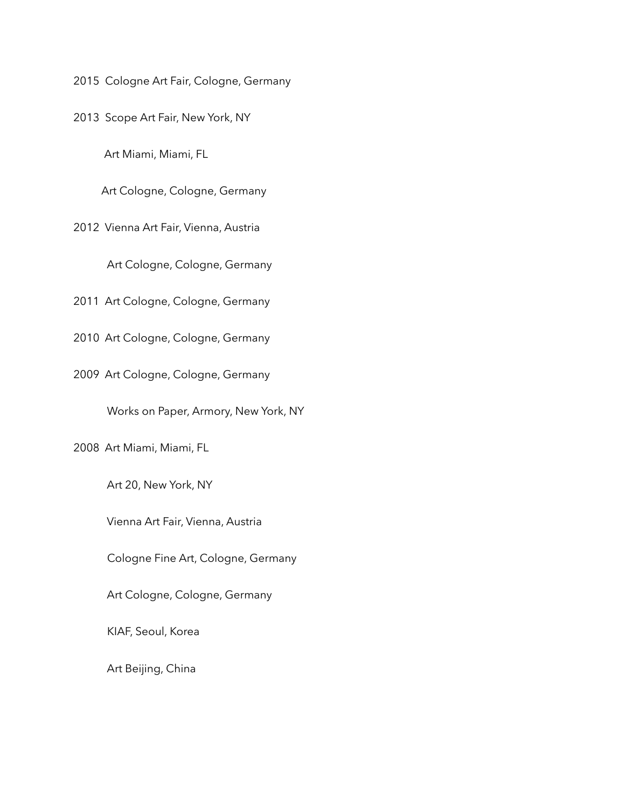2015 Cologne Art Fair, Cologne, Germany

2013 Scope Art Fair, New York, NY

Art Miami, Miami, FL

Art Cologne, Cologne, Germany

2012 Vienna Art Fair, Vienna, Austria

Art Cologne, Cologne, Germany

2011 Art Cologne, Cologne, Germany

2010 Art Cologne, Cologne, Germany

2009 Art Cologne, Cologne, Germany

Works on Paper, Armory, New York, NY

2008 Art Miami, Miami, FL

Art 20, New York, NY

Vienna Art Fair, Vienna, Austria

Cologne Fine Art, Cologne, Germany

Art Cologne, Cologne, Germany

KIAF, Seoul, Korea

Art Beijing, China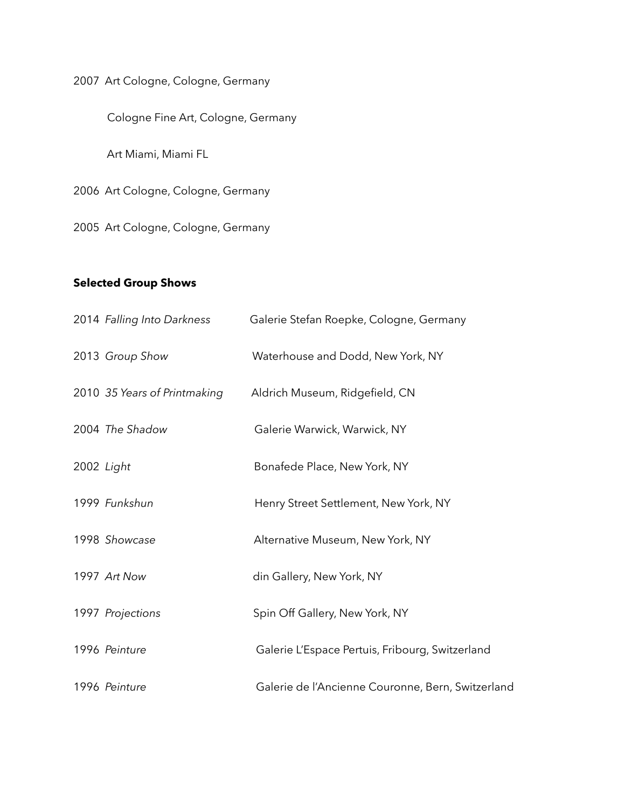2007 Art Cologne, Cologne, Germany

Cologne Fine Art, Cologne, Germany

Art Miami, Miami FL

2006 Art Cologne, Cologne, Germany

2005 Art Cologne, Cologne, Germany

# **Selected Group Shows**

|            | 2014 Falling Into Darkness   | Galerie Stefan Roepke, Cologne, Germany           |
|------------|------------------------------|---------------------------------------------------|
|            | 2013 Group Show              | Waterhouse and Dodd, New York, NY                 |
|            | 2010 35 Years of Printmaking | Aldrich Museum, Ridgefield, CN                    |
|            | 2004 The Shadow              | Galerie Warwick, Warwick, NY                      |
| 2002 Light |                              | Bonafede Place, New York, NY                      |
|            | 1999 Funkshun                | Henry Street Settlement, New York, NY             |
|            | 1998 Showcase                | Alternative Museum, New York, NY                  |
|            | 1997 Art Now                 | din Gallery, New York, NY                         |
|            | 1997 Projections             | Spin Off Gallery, New York, NY                    |
|            | 1996 Peinture                | Galerie L'Espace Pertuis, Fribourg, Switzerland   |
|            | 1996 Peinture                | Galerie de l'Ancienne Couronne, Bern, Switzerland |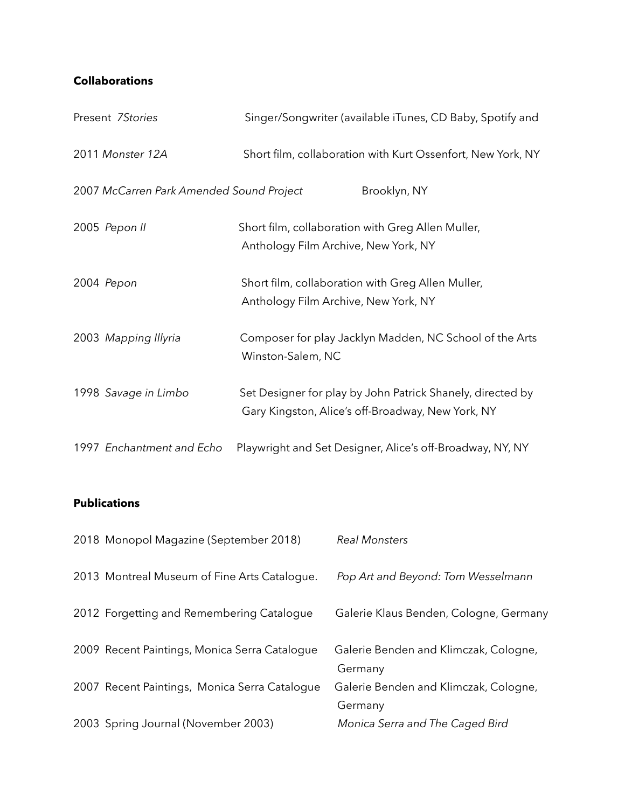## **Collaborations**

| Present 7Stories                         | Singer/Songwriter (available iTunes, CD Baby, Spotify and                                                       |
|------------------------------------------|-----------------------------------------------------------------------------------------------------------------|
| 2011 Monster 12A                         | Short film, collaboration with Kurt Ossenfort, New York, NY                                                     |
| 2007 McCarren Park Amended Sound Project | Brooklyn, NY                                                                                                    |
| 2005 Pepon II                            | Short film, collaboration with Greg Allen Muller,<br>Anthology Film Archive, New York, NY                       |
| 2004 Pepon                               | Short film, collaboration with Greg Allen Muller,<br>Anthology Film Archive, New York, NY                       |
| 2003 Mapping Illyria                     | Composer for play Jacklyn Madden, NC School of the Arts<br>Winston-Salem, NC                                    |
| 1998 Savage in Limbo                     | Set Designer for play by John Patrick Shanely, directed by<br>Gary Kingston, Alice's off-Broadway, New York, NY |
| 1997 Enchantment and Echo                | Playwright and Set Designer, Alice's off-Broadway, NY, NY                                                       |

### **Publications**

| 2018 Monopol Magazine (September 2018)        | <b>Real Monsters</b>                             |
|-----------------------------------------------|--------------------------------------------------|
| 2013 Montreal Museum of Fine Arts Catalogue.  | Pop Art and Beyond: Tom Wesselmann               |
| 2012 Forgetting and Remembering Catalogue     | Galerie Klaus Benden, Cologne, Germany           |
| 2009 Recent Paintings, Monica Serra Catalogue | Galerie Benden and Klimczak, Cologne,<br>Germany |
| 2007 Recent Paintings, Monica Serra Catalogue | Galerie Benden and Klimczak, Cologne,<br>Germany |
| 2003 Spring Journal (November 2003)           | Monica Serra and The Caged Bird                  |